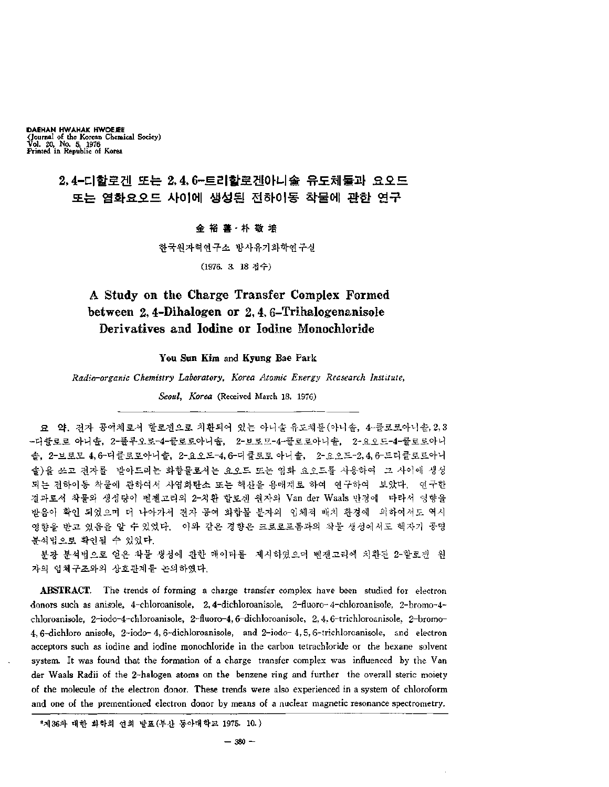**DAEHAN HWAHAK HWOEJEE {Journal of the Korean Chemical Sociey) Vol. 20, No. 5, 1976 Printed in Republic of Korea**

## **2,4**■•디할로겐 또는 **2,4, 6**•■■트리할로겐아니솔 유도체들과 요오드 또는 염화요오드 사이에 생성된 전하이동 착물에 관한 연구

#### 金裕善•朴敬培

한국원자력연구소 방사유기화학연구실

(1976. 3. 18 접수)

# **A Study on the Charge Transfer Complex Formed between 2,4-Dihalogen or 2,4, 6-TrihalogenanisoIe Derivatives and Iodine or Iodine Monochloride**

**You Sun Kim** and **Kyung Bae Park**

*Radio-organic Chemistry Laboratory, Korea Atomic Energy Reasearch Institute^*

*Seoul, Korea* (Received March 18, 1976)

 약. 전자 공여체로서 할로겐으로 치환되어 있는 아니솔 유도체들 아니솔, <sup>4</sup>-클로로아니솔,2,3 -디클로로 아니솔, 2-플루오로-4-클로로아니솔, 2-브로모-4-클로로아니솔, 2-요오드-4-클로로아니 솔, 2-브로모 4,6-디클로로아니솔, 2-요오드-4,6-디클로로 아니솔, 2-요오드-2,4,6-드리클로로아니 쓰고 전자를 받아드리는 화합물로서는 요오드 또는 염화 요오드를 사용하여 사이에 생성 되는 전하이동 착물에 관하여서 사염화탄소 또는 헥산을 용매계로 하여 연구하여 보았다, 연구한 결과로서 착물의 생성량이 벤졘고리의 2-치환 할로젠 원자의 Van der Waals 반경에 "따라서 영향을 받음이 확인 되었으며 나아가서 전자 공여 화합물 분자의 입체적 배치 환경에 의하여서도 역시 영향을 받고 있음을 있었다. 이와 같은 경향은 크로로포름과의 착물 생성에서도 핵자기 공명 분석법으로 확인될 있었다.

분광 분석법으로 얻은 착물 생성에 관한 데이타를 '제시하였으며 벤젠고리에 치환된 2-할로갠' 원 자의 입체구조와의 상호관계를 논의하였다.

**ABSTRACT.** The trends of forming a charge transfer complex have been studied for electron -donors such as anisole, 4-chloroanisole, 2,4-dichloroanisole, 2-fluoro- 4-chloroanisole, 2-bromo-4~ chloroanisole, 2-iodo-4-chloroanisole, 2-fluoro-4,6-dichloroanisole, 2, 4. 6-trichloroanisole, 2-bromo-4, 6-dichloro anisole, 2-iodo- 4, 6-dichloroanisole, and 2-iodo- 4, 5, 6-trichloroanisole, and electron acceptors such as iodine and. iodine monochloride in the carbon tetrachloride or the hexane solvent system. It was found that the formation of a charge transfer complex was influenced by the Van der Waals Radii of the 2-halogen atoms on the benzene ring and further the overall steric moiety of the molecule of the electron donor. These trends were also experienced in a system of chloroform and one of the prementioned electron donor by means of a nuclear magnetic resonance spectrometry.

<sup>\*</sup>제36차 대한 화학회 연회 발표(부산 동아대학교 1975. 10.)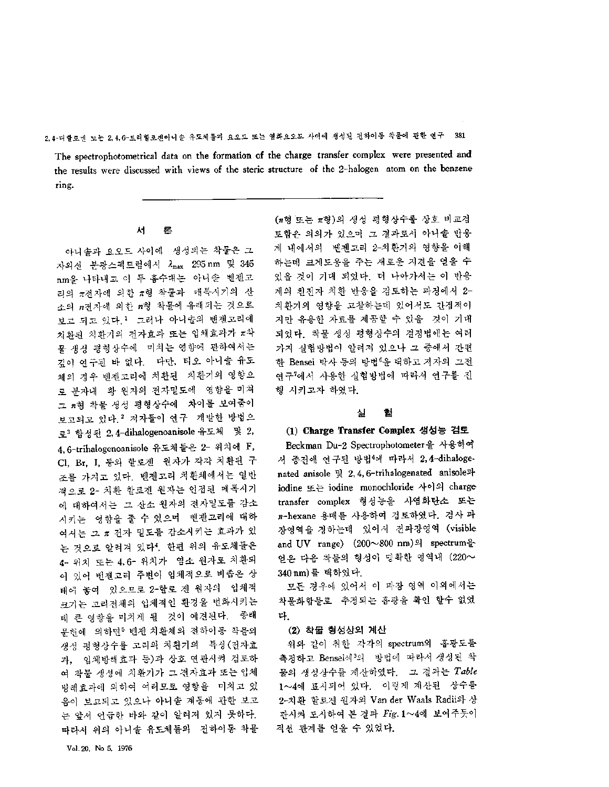The spectrophotometrical data on the formation of the charge transfer complex were presented and the results were discussed with views of the steric structure of the 2-halogen atom on the benzene ring.

# ——<br>서 론<br><sup>서 론</sup>

아니솔과 요오드 사이에 생성되는 착물은 그 자외선 분광스펙트럼에서  $\lambda_{\rm max}$  295 nm 및 345 nm을 나타내고 이 두 흡수대는 아니솔 벤젠고 리의  $\pi$ 전자에 의한  $\pi$ 형 착물과 -매톡시기의 산 소의  $n$ 전자에 의한  $n$ 형 착물에 유래되는 것으로 보고 되고 있다.<sup>1</sup> 그러나 아니솔의 벤젠고리에 치환된 치환기의 전자효과 또는 입체효과가 π착 물 생성 평형상수에 "미치는 영향에 관하여서는 깊이 연구된 없다. 다만, 티오 아니솔 유도 체의 경우 벤젠고리에 치환된 치환기의 영향으 로 분자내 황 원자의 전자밀도에 영향을 미쳐 그 #형 착물 생성 평형상수에 '차이를 보여줌이 보고되고 있다.2 저자들이 연구 개발한 방법으 로<sup>3</sup> 합성된 2,4-dihalogenoanisole 유도체 및 2, 4, 6-trihalogenoanisole 유도체들은 2- 위치에 F, Cl, Br, I, 등의 할로겐 원자가 각각 치환된 조를 가지고 있다. 벤젠고리 치환체에서는 일반 적으로 2- 치환 할로겐 원자는 인접된 메톡시기 에 대하여서는 그 산소 원자의 전자밀도를 감소 시키는 영향을 줄 수 있으며 벤젠고리에 대하 여서는 그 π 전자 밀도를 감소시키는 효과가 있 것으로 알려져 있다4. 한편 위의 유도체들은 4- 위치 또는 4,6- 위치가 염소 원자로 치환되 어 있어 벤젠고리 주변이 입체적으로 비좁은 상 태에 놓여 있으므로 <sup>2</sup>-할로 원자의 입체적 크기는 고리전체의 입체적인 환경을 변화시키는 데 큰 영향을 미치게 될 것이 예견된다. -종래 문허에 의하면5 벤젠 치환체의 전하이동 착물의 생성 평형상수를 고리의 치환기의 특성(전자효 과, 입체방해효과 등)과 상호 연관시켜 검토하 여 착물 생성에 치환기가 그 전자효과 또는 입체 방해효과에 의하여 여러모로 영향을 "미치고 있 음이 보고되고 있으나 아니솔 계통에 관한 보고 논 앞서 언급한 바와 같이 알려져 있지 못하다. 따라서 위의 아니솔 유도체들의 전하이동 착물

(n형 또는 π형)의 생성 평형상수를 상호 비교검 토함은 의의가 있으며 결과로서 아니솔 반응 계 내에서의 '벤젠고리 2-치환기의 영향을 이해 하는데 크게도움을 주는 새로운 지견을 얻을 있을 것이 기대 되었다. 더 나아가서는 이 반응 계의 친전자 치환 반응을 검토하는 과정에서 2- 치환기의 영향을 고찰하는데 있어서도 간접적이 지만 유용한 자료를 제공할 있을 것이 기대 되었다. 착물 생성 평형상수의 결정법에는 여러 가지 실험방법이 알려져 있으나 중에서 간편 한 Bensei 박사 등의 방법<sup>6</sup>을 택하고 저자의 그전 연구<sup>7</sup>에서 사용한 실험방법에 따라서 연구를<br>행 시키고자 하였다.<br>실 <mark>철</mark> 행 시키고자 하였다.

#### **(1) Charge Transfer Complex** 생성능 검토

Beckman Du-2 Spectrophotometer을 사용하여 서 종전에 연구된 방법<sup>4</sup>에 따라서 2,4-dihalogenated anisole  $\frac{11}{2}$ , 2, 4, 6-trihalogenated anisole과 iodine 또는 iodine monochloride 사이의 charge transfer complex 형성능을 사염화탄소 또는 n-hexane 용매를 사용하여 검토하였다. 검사 파 장영역을 정하는데 있어서 전파장영역 (visible and UV range)  $(200 \sim 800 \text{ nm})$ 의 spectrum을 얻은 다음 착물의 형성이 명확한 영역내(<sup>220</sup>〜 340 nm)를 택하였다.

모든 경우에 있어서 이 파장 영역 이외에서는 착물화합물로 추정되는 흡광을 확인 할수 없었 다.

#### **(2)** 착물 형성상의 계산

위와 같이 취한 각각의 spectrum의 흡광도를 촉정하고 Bensei세<sup>3</sup>의 방법에 따라서 생성된 착 물의 성상수를 산하였다. 결과는 *Table* 1〜4에 표시되어 있다. 이렇게 계산된 상수를 2-치환 할로겐 원자의 Van der Waals Radii와 상 관시켜 도시하여 본 결과 Fig. 1~4에 보여주듯이 직선 관계를 얻을 있었다.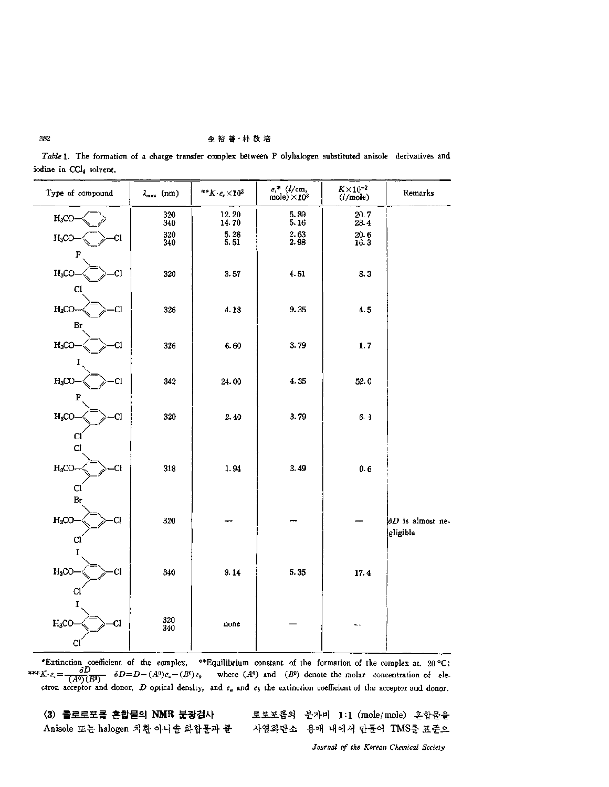#### 金裕善·朴敬培

Table 1. The formation of a charge transfer complex between P olyhalogen substituted anisole derivatives and iodine in CCl4 solvent.

| Type of compound        | $\lambda_{\max}$ (nm)                     | $**K\cdot e_{\epsilon}\times 10^2$ | $\substack{e_t^* \text{ }\\ \text{mole})\times 10^3}$ | $K \times 10^{-2}$<br>(l/mol)               | Remarks                  |
|-------------------------|-------------------------------------------|------------------------------------|-------------------------------------------------------|---------------------------------------------|--------------------------|
| $H_3CO$                 | $\begin{array}{c} 320 \\ 340 \end{array}$ | 12.20<br>14.70                     | 5.89<br>5.16                                          | 20.7<br>28.4                                |                          |
| $H_3CO$<br>Cl           | 320<br>340                                | $\frac{5.28}{5.51}$                | $\frac{2.63}{2.98}$                                   | $\begin{array}{c} 20.6 \\ 16.3 \end{array}$ |                          |
| F                       |                                           |                                    |                                                       |                                             |                          |
| $H_3CO$<br>CI.<br>C1    | 320                                       | 3.57                               | 4.51                                                  | 8.3                                         |                          |
| H <sub>3</sub> CO<br>Cl | 326                                       | 4.18                               | 9.35                                                  | 4.5                                         |                          |
| $\mathbf{B}_\mathbf{I}$ |                                           |                                    |                                                       |                                             |                          |
| $H_3CO$<br>Cl           | 326                                       | 6.60                               | 3.79                                                  | 1, 7                                        |                          |
|                         |                                           |                                    |                                                       |                                             |                          |
| $H_3CO$<br>Cl           | 342                                       | 24.00                              | 4.35                                                  | 52.0                                        |                          |
| $\mathbf{F}$<br>$H_3CO$ | 320                                       | 2.40                               | 3.79                                                  | 6.3                                         |                          |
| <b>CI</b>               |                                           |                                    |                                                       |                                             |                          |
| C1                      |                                           |                                    |                                                       |                                             |                          |
| $H_3CO$<br>CI           | 318                                       | 1.94                               | 3.49                                                  | 0.6                                         |                          |
| Cl<br>Br                |                                           |                                    |                                                       |                                             |                          |
| $H_3CO$<br>ĊĬ           | 320                                       |                                    |                                                       |                                             | $\delta D$ is almost ne- |
| C1                      |                                           |                                    |                                                       |                                             | gligible                 |
| I                       |                                           |                                    |                                                       |                                             |                          |
| $H_3CO$<br>Cl           | 340                                       | 9.14                               | 5.35                                                  | 17.4                                        |                          |
| C1                      |                                           |                                    |                                                       |                                             |                          |
| H <sub>3</sub> CO<br>a  | 320                                       | none                               |                                                       | ц.                                          |                          |
| Cl                      | 340                                       |                                    |                                                       |                                             |                          |

\*Extinction coefficient of the complex, \*\*Equilibrium constant of the formation of the complex at. 20 °C;<br>\*\*\*K· $e_c = \frac{\partial D}{(A^0)(B^0)}$   $\partial D = D - (A^0)e_a - (B^0)e_b$  where  $(A^0)$  and  $(B^0)$  denote the molar concentration of electron

<span id="page-2-0"></span>(3) 클로로포름 흔합물의 NMR 분광검사 Anisole 또는 halogen 치환 아니슬 화합물과 클

로로포름의 분자비 1:1 (mole/mole) 혼합물을 사염화탄소 용매 내에서 만들어 TMS를 표준으

Journal of the Korean Chemical Society

382

l,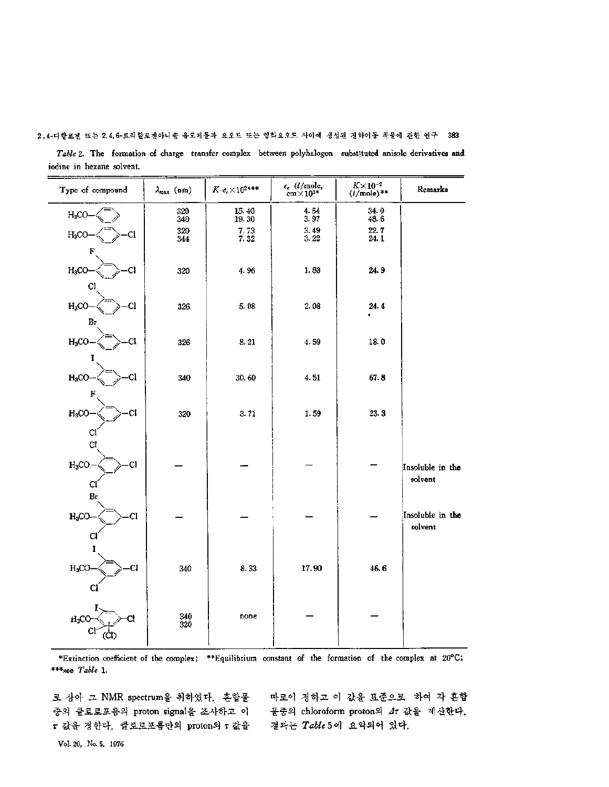| Table 2. The formation of charge transfer complex between polyhalogen substituted anisole derivatives and |  |  |
|-----------------------------------------------------------------------------------------------------------|--|--|
| iodine in hexane solvent.                                                                                 |  |  |

| Type of compound    | $\lambda_{\text{max}}$ (nm) | $K\!\cdot\!e_{\epsilon}\!\times\!10^{2\!\ast\!*\!*}$ | $\epsilon_{\rm c}~(l/{\rm mole}, \nonumber \ {\rm cm}{\times}10^{3*}$ | $K \times 10^{-2}$<br>( <i>l</i> /mole)** | Remarks                     |
|---------------------|-----------------------------|------------------------------------------------------|-----------------------------------------------------------------------|-------------------------------------------|-----------------------------|
| $H_3CO$             | $\frac{320}{340}$           | 15.40<br>19.30                                       | 4.54<br>3.97                                                          | 34.0<br>48.6                              |                             |
| $H_3CO$<br>Cl       | 320<br>344                  | $\begin{array}{c} 7.73 \\ 7.32 \end{array}$          | 3.49<br>3.22                                                          | 22.7<br>24.1                              |                             |
| F                   |                             |                                                      |                                                                       |                                           |                             |
| $H_3CO$<br>C.       | 320                         | 4.96                                                 | 1.88                                                                  | 24.9                                      |                             |
| Cl                  |                             |                                                      |                                                                       |                                           |                             |
| $H_3CO$<br>C1<br>Br | 326                         | 5.08                                                 | 2.08                                                                  | 24.4                                      |                             |
| $H_3CO$<br>CI       | 326                         | 8.21                                                 | 4.59                                                                  | 18.0                                      |                             |
|                     |                             |                                                      |                                                                       |                                           |                             |
| $H_3CO$<br>-Cl      | 340                         | 30.60                                                | 4.51                                                                  | 67.8                                      |                             |
| F                   |                             |                                                      |                                                                       |                                           |                             |
| $H_3CO$<br>CI       | 320                         | 3.71                                                 | 1.59                                                                  | 23.3                                      |                             |
| CI<br>C1            |                             |                                                      |                                                                       |                                           |                             |
| $H_3CO-$<br>Cl      |                             |                                                      |                                                                       |                                           |                             |
| CÍ                  |                             |                                                      |                                                                       |                                           | Insoluble in the<br>solvent |
| Br                  |                             |                                                      |                                                                       |                                           |                             |
| $H_3CO$<br>Cl       |                             |                                                      |                                                                       |                                           | Insoluble in the            |
| Cl                  |                             |                                                      |                                                                       |                                           | solvent                     |
|                     |                             |                                                      |                                                                       |                                           |                             |
| $H_3CO$<br>C1       | 340                         | 8.33                                                 | 17.90                                                                 | 46.6                                      |                             |
| $\mathbf{C}$        |                             |                                                      |                                                                       |                                           |                             |
| $H_3CC$             | 340<br>320                  | none                                                 |                                                                       |                                           |                             |
| Cl<br>(CI)          |                             |                                                      |                                                                       |                                           |                             |

\*Extinction coefficient of the complex: \*\*Equilibrium constant of the formation of the complex at 20°C \*\*\*see *Table* 1.

로 삼아 그 NMR spectrum을 취하였다. 혼합물 중의 클로로포름의 proton signal을 조사하고 이 물중의 chloroform proton의 *4t* 값을 계산<mark>한다.</mark> *t* 값을 한다. 클로로포름만의 proton *t* 값을

따로이 정하고 이 값을 표준으로 하여 각 혼합 결과는 *Table* 5 에 요악되어 있다.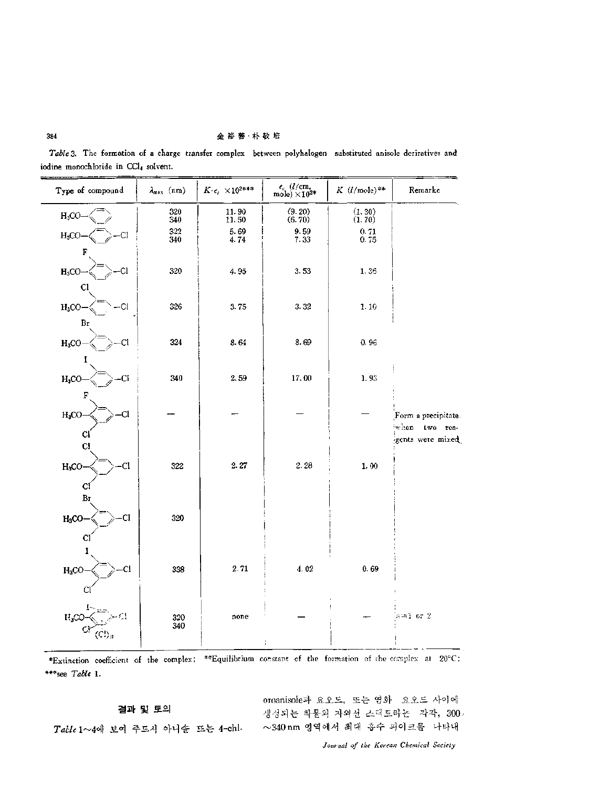#### 金裕善·朴敬培

Table 3. The formation of a charge transfer complex between polyhalogen substituted anisole deriratives and iodine monochloride in CCl4 solvent.

| Type of compound                        | $\lambda_{\text{max}}$ (nm) | $K \cdot \epsilon_c \ \times 10^{2***}$     | $e_c~(l/{\rm cm},$ mole) $\times 10^{2*}$ | $K$ ( <i>l</i> /mole)**                             | Remarke                           |
|-----------------------------------------|-----------------------------|---------------------------------------------|-------------------------------------------|-----------------------------------------------------|-----------------------------------|
| $H_3CO$                                 | 320<br>340                  | 11.90<br>11.50                              | (9.20)<br>(6.70)                          | $\begin{array}{c} (1,30) \\ (1,70) \end{array}$     |                                   |
| CI.<br>H <sub>3</sub> CO                | 322<br>340                  | $\begin{array}{c} 5.69 \\ 4.74 \end{array}$ | $\frac{9.59}{7.33}$                       | $\begin{smallmatrix} 0.71\\ 0.75 \end{smallmatrix}$ |                                   |
| F                                       |                             |                                             |                                           |                                                     |                                   |
| <b>CI</b><br>$H_3CO$<br>CI              | 320                         | 4.95                                        | 3.53                                      | 1.36                                                |                                   |
| <b>CI</b><br>$H_3CO$                    | 326                         | 3.75                                        | 3.32                                      | 1.10                                                |                                   |
| Br                                      |                             |                                             |                                           |                                                     |                                   |
| $H_3CO$<br>Cl                           | 324                         | 8.64                                        | 8.69                                      | 0.96                                                |                                   |
| Ī                                       |                             |                                             |                                           |                                                     |                                   |
| H <sub>3</sub> CO<br>CI.<br>$\mathbf F$ | 340                         | 2.59                                        | 17.00                                     | 1.93                                                |                                   |
| Cl<br>$H_3CO$                           |                             |                                             |                                           |                                                     | Form a precipitate.               |
| C                                       |                             |                                             |                                           |                                                     | when two rea-<br>gents were mixed |
| C1                                      |                             |                                             |                                           |                                                     |                                   |
| C1<br>$H_3CO$                           | 322                         | 2.27                                        | 2.28                                      | 1.00                                                |                                   |
| C<br>Br                                 |                             |                                             |                                           |                                                     |                                   |
| $H_3CO$<br>Cl                           | 320                         |                                             |                                           |                                                     |                                   |
| Cl                                      |                             |                                             |                                           |                                                     |                                   |
| $H_3CO$<br>Cl                           | 338                         | 2.71                                        | 4.02                                      | 0.69                                                |                                   |
| c                                       |                             |                                             |                                           |                                                     |                                   |
|                                         |                             |                                             |                                           |                                                     |                                   |
| $H_3CC$                                 | 320<br>340                  | none                                        |                                           |                                                     | $n = 1$ or 2                      |
|                                         |                             |                                             | ÷                                         |                                                     |                                   |

<span id="page-4-0"></span>\*Extinction coefficient of the complex; \*\*Equilibrium constant of the formation of the complex at 20°C; \*\*\* see Table 1.

결과 및 토의

oroanisole과 요오드, 또는 영화 요오드 사이에 생성되는 착물의 자외선 스펙트라는 각각, 300. ~340 nm 영역에서 최대 흡수 피이크를 나타내

Table 1~4에 보여 주드시 아니솔 또는 4-chl-

Journal of the Korean Chemical Society

384

 $\overline{\phantom{0}}$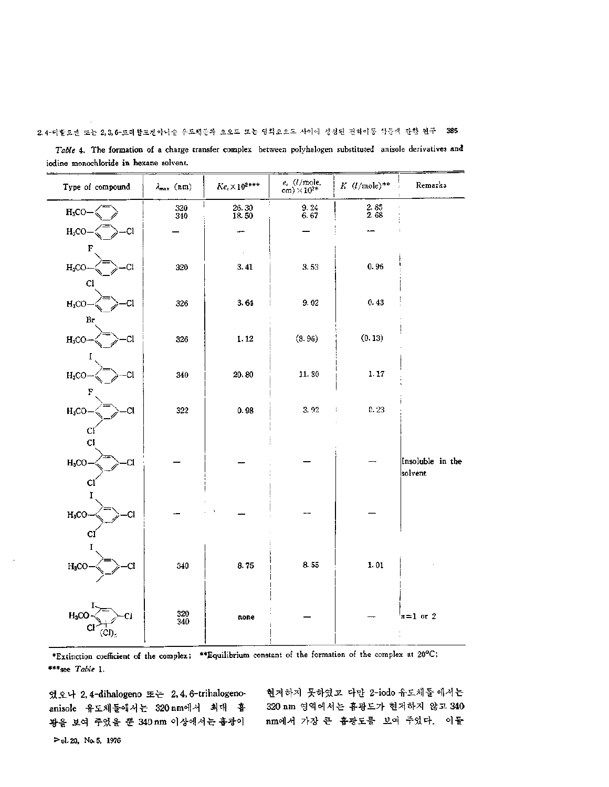**2,4**-디할로젠 또는 **2,3,6**-트기할르겐아니슽 은도체들과 요오드 또는 염화요오드 사이에 생성된 전하이동 착몰애 관한 연고 **385**

| Table 4. The formation of a charge transfer complex between polyhalogen substituted anisole derivatives and |  |
|-------------------------------------------------------------------------------------------------------------|--|
| iodine monochloride in hexane solvent.                                                                      |  |

| Type of compound     | $\lambda_{\max}$ (nm)                     | $Ke_{\epsilon}\times10^{2\ast\ast\ast}$       | $e_c~(l/\mathrm{mole},\mathrm{cm})\times10^{2\%}$ | $K$ ( <i>l</i> /mole)**                     | Remarks          |
|----------------------|-------------------------------------------|-----------------------------------------------|---------------------------------------------------|---------------------------------------------|------------------|
| $H_3CO$              | $\frac{320}{340}$                         | $\begin{array}{c} 26.30 \\ 18.50 \end{array}$ | $\frac{9.24}{6.67}$                               | $\begin{array}{c} 2.85 \\ 2.68 \end{array}$ |                  |
| -CI<br>$H_3CO$       |                                           | ---                                           |                                                   |                                             |                  |
| F                    |                                           | $\epsilon$                                    |                                                   |                                             |                  |
| ĊÍ<br>$H_3CO$        | 320                                       | 3.41                                          | 3.53                                              | 0.96                                        |                  |
| C1                   |                                           |                                               |                                                   |                                             |                  |
| -Cl<br>$H_3CO$       | 326                                       | 3.64                                          | 9.02                                              | 0.43                                        |                  |
| Br                   |                                           |                                               |                                                   |                                             |                  |
| Cl.<br>$H_3CO$       | 326                                       | 1.12                                          | (8.96)                                            | (0.13)                                      |                  |
|                      |                                           |                                               |                                                   |                                             |                  |
| $H_3CO$<br>Cl        | 340                                       | 20.80                                         | 11.30                                             | 1.17                                        |                  |
| F                    |                                           |                                               |                                                   |                                             |                  |
| $H_3CO$<br><b>CI</b> | 322                                       | 0.98                                          | $3.\,\,92$                                        | 0.23<br>÷                                   |                  |
| CI<br>C <sub>1</sub> |                                           |                                               |                                                   |                                             |                  |
| $H_3CO$<br>C1        |                                           |                                               |                                                   |                                             | Insoluble in the |
| Сl                   |                                           |                                               |                                                   |                                             | solvent          |
|                      |                                           |                                               |                                                   |                                             |                  |
| $H_3CO$<br>СI        |                                           |                                               |                                                   |                                             |                  |
| CI                   |                                           |                                               |                                                   |                                             |                  |
|                      |                                           |                                               |                                                   |                                             |                  |
| $H_3CO$              | 340                                       | 8.75                                          | 8.55                                              | $1.01\,$                                    |                  |
|                      |                                           |                                               |                                                   |                                             |                  |
| $H_3CC$              |                                           |                                               |                                                   |                                             |                  |
| Cl<br>(CI),          | $\begin{array}{c} 320 \\ 340 \end{array}$ | none                                          |                                                   |                                             | $n=1$ or 2       |
|                      |                                           |                                               |                                                   |                                             |                  |

<span id="page-5-0"></span>\*Extinction coefficient of the complex; \*\*Equilibrium constant of the formation of the complex at 20°C; \*\*\*see *Table* 1.

오나 2,4-dihalogeno *또는* 2,4,6-trihalogenoanisole 유도체들에서는 320 nm에서 최대 흡 광을 보여 주었을 뿐 340 nm 이상에서는 흡광이

현저하지 못하였고 다만 <sup>2</sup>-iodo 유도체들 에서는 320 nm 영역에서는 흡광도가 현저하지 않고 340 nm에서 가장 흡광도를 보여 주었다. 이들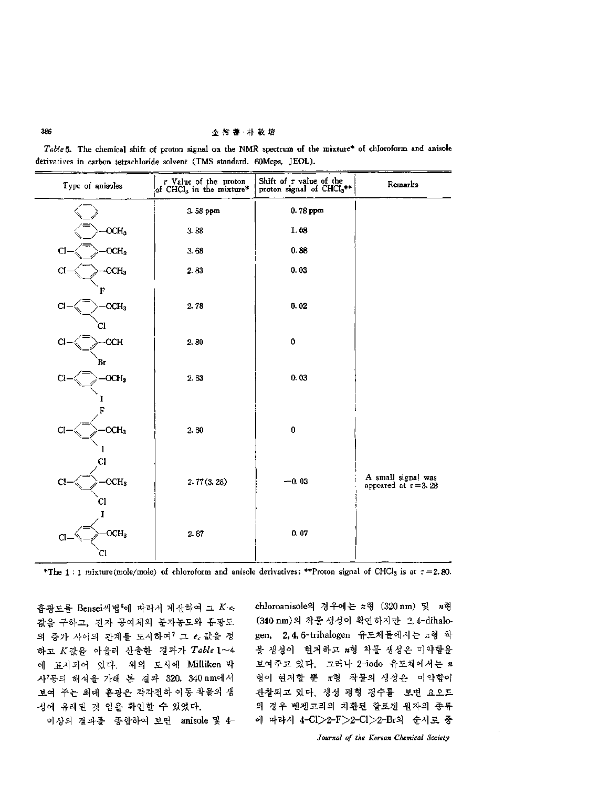**386** 金裕善•朴敬培

*Table* 5. The chemical shift of proton signal on the NMR spectrum of the mixture\* of chloroform and anisole derivatives in carbon tetrachloride solvent (TMS standard. 60Mcps, JEOL).

| Type of anisoles       | $\sigma$ Value of the proton<br>of CHCl <sub>3</sub> in the mixture* | Shift of $\tau$ value of the<br>proton signal of CHCl <sub>3</sub> ** | Remarks                                         |
|------------------------|----------------------------------------------------------------------|-----------------------------------------------------------------------|-------------------------------------------------|
|                        | 3.58 ppm                                                             | 0.78 ppm                                                              |                                                 |
| OCH <sub>3</sub>       | 3.88                                                                 | 1.08                                                                  |                                                 |
| $OCH_3$<br>C.          | 3.68                                                                 | 0.88                                                                  |                                                 |
| OCH <sub>3</sub><br>C. | 2.83                                                                 | 0.03                                                                  |                                                 |
|                        |                                                                      |                                                                       |                                                 |
| $- OCH3$<br>а          | 2.78                                                                 | 0.02                                                                  |                                                 |
| Cl<br>-OCH<br>Cl       | 2.80                                                                 | 0                                                                     |                                                 |
| Вr                     |                                                                      |                                                                       |                                                 |
| OCH <sub>3</sub>       | 2.83                                                                 | 0.03                                                                  |                                                 |
|                        |                                                                      |                                                                       |                                                 |
|                        |                                                                      |                                                                       |                                                 |
| OCH <sub>3</sub><br>Cl | $2.80\,$                                                             | $\pmb{0}$                                                             |                                                 |
|                        |                                                                      |                                                                       |                                                 |
| OCH <sub>3</sub><br>C. | 2.77(3.28)                                                           | $-0.03$                                                               | A small signal was<br>appeared at $\tau = 3.28$ |
|                        |                                                                      |                                                                       |                                                 |
|                        |                                                                      |                                                                       |                                                 |
| OCH <sub>3</sub><br>CI | 2.87                                                                 | 0.07                                                                  |                                                 |
| СI                     |                                                                      |                                                                       |                                                 |

\*The 1 : 1 mixture(mole/mole) of chloroform and anisole derivatives; \*\*Proton signal of CHCl3 is at  $\tau = 2.80$ .

흡광도를 Bensei씨법<sup>6</sup>에 따라서 계산하여 그 K·ec 값을 구하고, 전자 공여체의 분자농도와 홉광도 의 증가 사이의 관계를 도시하여 $^7$  그  $e_c$  값을 정 하고 K값을 아울러 산출한 결과가 Table 1~4 에 표시되어 있다. 위의 도시에 Milliken 박 <sup>7</sup>등의 해석을 가해 결과 320, 340nm에서 보여 주는 최대 흡광은 각각전하 이동 착물의 성에 유래된 것 임을 확인할 수 있었다.

이상의 결과를 종합하여 보면 anisole <sup>4</sup>-

chloroanisole의 경우에는  $\pi$ 형 (320 nm) 및  $n$ 형 (340 nm)의 착물 생성이 확연하지만 2,4-dihalogen, 2, 4, 6-trihalogen 유도체 들에 *花형* 생성이 현저하고 刀형 착물 생성은 미약함을 보여주고 있다. 그러나 <sup>2</sup>-iodo 유도체에서는 *<sup>n</sup>* 형이 현저할 뿐  $\pi$ 형 착물의 생성은 미약함이 관찰되고 있다. 생성 평형 정수를 보면 요오드 경우 벤젠고리의 치환된 할로겐 원자의 종류 에 따라서 4-Cl>2-F>2-Cl>2-Br의 순서로 중

*Journal of the Korean Chemical Society*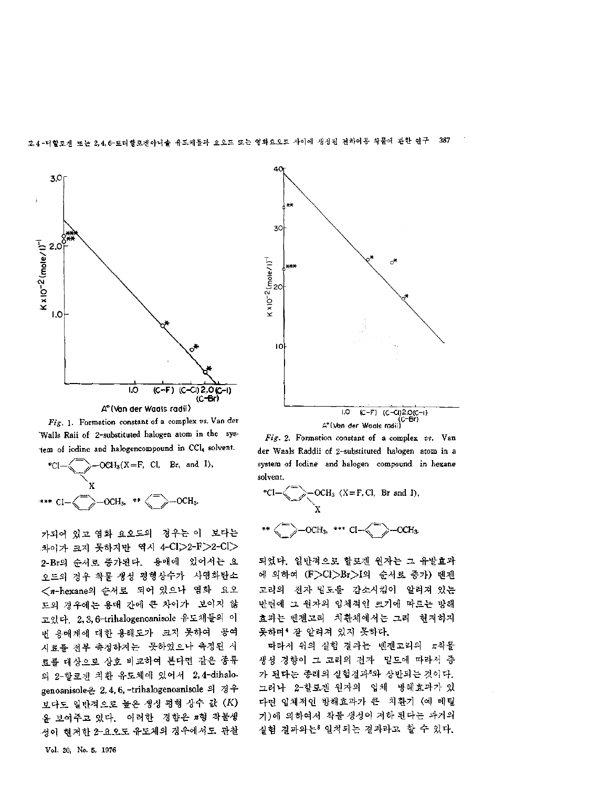





가되어 있고 염화 요오드의 경우는 이 보다는 차이가 크지 못하지만 역시 4-Cl>2-F>2-Cl> 2-Br의 순서로 증가된다. 용매에 있어서는 요 오드의 경우 착물 생성 평형상수가 사염화탄소 <n-hexane의 순서로 되어 있으나 염화 요오 드의 경우에는 용매 간에 큰 차이가 보이지 않 고있다. 2, 3, 6-trihalogenoanisole 유도체들의 이 용매계에 대한 용해도가 크지 못하여 공여 시료를 전부 측정하지는 못하였으나 측정된 료를 대상으로 상호 비교하여 본다면 같은 종류 <sup>2</sup>-할로겐 치환 유도체에 있어서 2,4-dihalogenoanisole은 2, 4, 6, -trihalogenoanisole 의 경우 보다도 일반적으로 높은 생성 평형 상수 값 (K) 보여주고 있다. 이러한 경향은 如형 착물생 성이 현저한 2-요오도 유도체의 경우에서도 관찰





*Fig. 2.* Formation constant of a complex *vs.* Van der Waals Raddii of 2~substituted halogen atom in a system of Iodine and halogen compound in hexane solvent.

\*
$$
c1 - \left\langle \frac{1}{\sqrt{2}} \right\rangle - OCH_3 \quad (X = F, Cl, Br \text{ and } I),
$$
  

되었다. 일반적으로 할로겐 원자는 유발효과 에 의하여 (F>Cl>Br>I의 순서로 증가) 벤젠 고리의 전자 밀도를 감소시킴이 알려져 있는 반면에 그 원자의 입체적인 크기에 따르는 방해 효과는 벤젠고리 치환체에서는 그리 현저하지 못하며4 알려져 있지 못하다.

따라서 위의 실험 결과는 벤젠고리의 充착물 생성 경향이 그 고리의 전자 밀도에 따라서 중 가 된다는 종래의 실험결과8와 상반되는 것이다. 그러나 <sup>2</sup>-할로겐 원자의 입체 방해효과가 다면 입체적인 방해효과가 큰 치환기 (예 메틸 기)에 의하여서 착물 생성이 저하 된다는 과거의 실험 결과와는8 일치되는 결과라고 할 수 있다.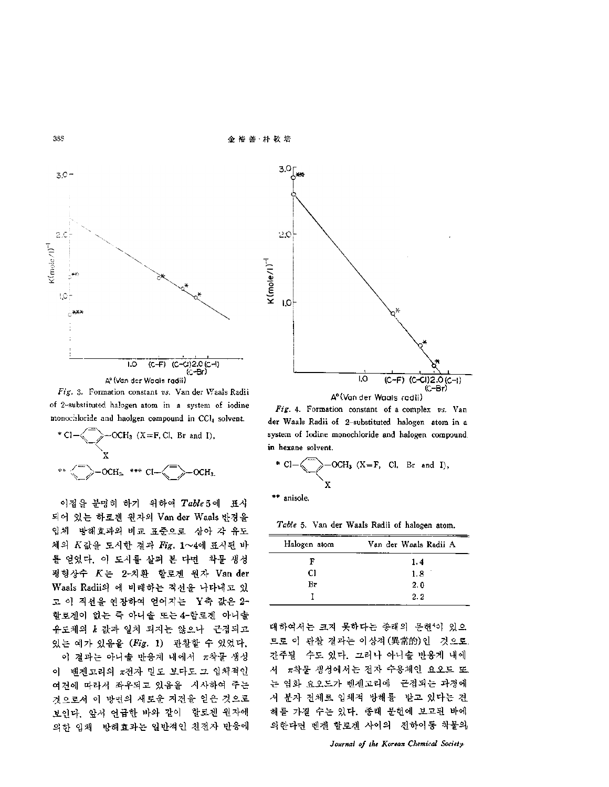**3S8** 金裕善•朴敬培



*Fig.* 3. Formation constant *vs.* Van der Waals Radii of 2-substituted halogen atom in a system of iodine monochloride and haolgen compound in CCI4 solvent.



이점을 분명히 하기 위하여 Table 5에 표시 되어 있는 하로겐 원자의 Vander Waals 반경을 입체 방해효과의 비교 표준으로 잠아 각 유도 체의 K값을 도시한 결과 *Fig.* 1~4에 표시된 바 를 얻었다. 이 도시를 살펴 본 다면 착물 생성 형상수 K 2-치환 할로겐 원자 Van der Waals Radii의 에 비례하는 직선을 나타내고 있 고 이 직선을 연장하여 얻어지는 Y축 값은 2-할로겐이 없는 즉 아니솔 또는 4-할로겐 아니솔 유도체의 *k* 값과 일치 되지는 않으나 근접되고 있는 예가 있음을 (*Fig.* 1) 관찰할 수 있었다.

이 결과는 아니솔 반응계 내에서 π착물 생성 이 벤젠고리의 π전자 밀도 보다도 그 입체적인 여건에 따라서 좌우되고 있음을 시사하여 주는 것으로서 방면의 새로운 지견을 얻은 것으로 보인다. 앞서 언급한 바와 같이 할로겐 원자에 의한 입체 방해효과는 일반적인 친전자 반응에



*Fig.* 4. Formation constant of a complex *vs.* Van der Waals Radii of 2-substituted halogen atom in a system of Iodine monochloride and halogen compound in hexane solvent.

\* 
$$
CI - \leftarrow
$$
  $OCH_3$  (X = F, Cl, Br and I),  
X

\*\* anisole.

*Table* 5. Van der Waals Radii of halogen atom.

| Halogen atom | Van der Waals Radii A |
|--------------|-----------------------|
| F            | 1.4                   |
| Сl           | 1.8                   |
| Br           | 2.0                   |
|              | 2.2.                  |

대하여서는 크지 못하다는 종래의 문헌4이 있으 므로 이 관찰 결과는 이상적(異常的)인 - 것으로 간주될 수도 있다. 그러나 아니솔 반응계 내에 서 π착물 생성에서는 전자 수용체인 요오드 또 는 엽화 요오드가 벤젠고리에 근접되는 과정에 서 분자 전체로 입체적 방해를 받고 있다는 견 해를 가질 수는 있다. 종래 문헌에 보고된 바에 의한다면 벤젠 할로겐 사이의 전하이동 착물의

*Journal of the Korean Chemical Society*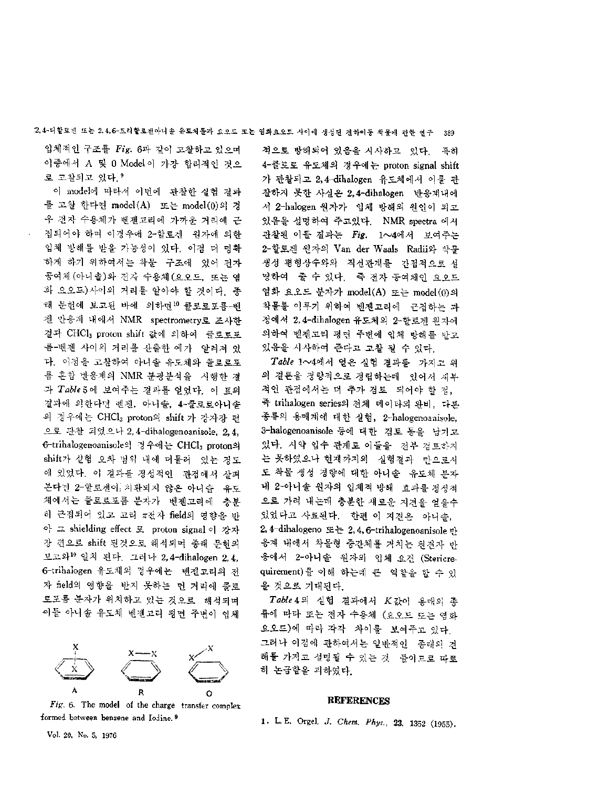**24**- 할로겐 또는 **2,4,6-**트리 할로겐아니 유도체들과 오오드 또는 염화요오드 사이에 생성된 전하이동 착물에 관한 연구 **<sup>389</sup>**

입체적인 구조를 *Fig*. 6과 같이 고찰하고 있으며 이중에서 A 및 0 Model이 가장 합리적인 것으 로 고찰되고 있다. 9

이 model에 따라서 이번에 관찰한 실험 결과 를 고찰 한다면 model(A) -또는 model(0)의 경 우 전자 수용체가 벤젠고리에 가까운 거리에 근 접되어야 하며 이경우에 2-할로겐 원자에 의한 입체 방해를 받을 가능성이 있다. 이점 명확 하게 하기 위하여서는 착물 구조에 있어 전자 공여체 (아니솔)와 전자 수용체 (요오드, 또는 염 화 요오드)사이의 거리를 알아야 할 것이다. 종 태 문헌에 보고된 바에 의하면 클로로포름-벤 젠 반응계 내에서 NMR spectrometry로 조사한 결과 CHCl3 proton shift 값에 의하여 클로로포 룸-벤졘 사이의 거리를 산출한 예가 알려져 있 . 이점을 고찰하여 아니솔 유도체와 들로로포 혼합 반응계의 NMR 분광분석을 시행한 과  $Table 5$ 에 보여주는 결과를 얻었다. 이 표의 결과에 의한다면 벤젠, 아니솔, 4-클로로아니솔 의 경우에는 CHCl<sub>3</sub> proton의 shift 가 강자장 편 으로 관찰 으나 2, 4~dihalogenoaniso!e, 2,4, 6-trihalogenoanisole의 경우에는 CHCl<sub>3</sub> proton의 shift가 실험 오차 범위 내에 더물러 있는 정도 있었다. 결과를 정성적인 관점에서 살펴 본다진 2-할로겐이 치환되지 않은 아니솔 -유도 체에서는 늘로로포름 분자가 벤젠고리에 충분 히 근접되어 있고 고리 π전자 field의 영향을 반 아 그 shielding effect 로 proton signal 이 강자 장 편으로 shift 된것으로 해석되며 종래 문헌의 보고와일치 된다. 그러나 2,4-dihalogen 2,4, 6-trihalogen 유도체의 경우에는 벤젠고리의 자 field의 영향을 받지 못하는 먼 거리에 클로 로포름 분자가 위치하고 있는 것으로 해석되며 외들 아니솔 유도체 벤젠고리 평면 주변이 입체



Fig. 6. The model of the charge transfer complex formed between benzene and Iodine. <sup>9</sup>

적으로 방해되어 있음을 시사하고. 있다. - 특히 4-클로로 유도체의 경우에는 proton signal shift 가 관찰되고 2,4-dihalogen 유도체에서 이를 관 찰하지 못한 사실은 2,4-dihalogen 반응계내에 2-halogen 원자가 입체 방해의 원인이 되고 있음을 설명하여 주고있다. NMR spectra 에서 관찰된 이들 결과는 *Fig.* <sup>1</sup>〜<sup>4</sup>에서 보여주는 2-할로겐 원자의 Van der Waals -Radii와 착물 생성 평형상수와의 직선관계를 간접적으로 설 명하여 줄 수 있다. 즉 전자 공여체인 요오드 염화 요오드 분자가 model(A) 또는 model(0)의 착물를 이루기 위하여 벤젠고리에 근접하는 정에서 2,4-dihalogen 유도체의 <sup>2</sup>-할로겐 원자에 의하여 벤젠고리 평면 주변에 입체 방해를 받고 있음을 시사하여 준다고 고찰 있다.

*Table* <sup>1</sup>〜<sup>4</sup>에서 얻은 실험 결과를 가지 결론을 량적으로 정립하는데 있어서 세부 적인 관점에서는 더 추가 검토 -되어야 할 정, 즉 trihalogen series의 전체 데이타의 완비, 다른 종류의 용매계에 대한 실험, 2-halogenoanisole, 3-halogenoanisole 등에 대한 검토 등을 남기고 있다. 시약 입수 관계로 이들을 전부 검토하지 못하였으나 현재까지의 실험결과 만으로서 도 착물 생성 경향에 대한 아니솔 유도체 분자 2-아니솔 원자의 입체적 방해 효과를 정성적 으로 가려 내는데 충분한 새로운 지견을 얻을수 있었다고 사료된다. 한편 지견은 아니솔, 2, 4-dihalogeno *또는* 2, 4, 6-trihalogenoanisole 응계 내에서 착물형 중간체를 거치는 친전자 반 응에서 2■•아니솔 원자의 입체 요건 (Stericrequirement)를 이해 하는데 큰 역할을 할 수 있 것으로 기대된다.

Table 4의 실험 결과에서 K값이 용매의 종 류에 따라 또는 전자 수용체 (요오드 도는 연화 요오드) 따라 각각 차이를 보여주고 있다. 그러나 이점에 관하여서는 일반적인 종래의 해를 가지고 설명될 수 있는 것 들이므로 따로 논급함을 피하였다.

#### **REFERENCES**

1- L. E. Orgel, *J. Chem. Phys.,* **23,** <sup>1352</sup> (1955).